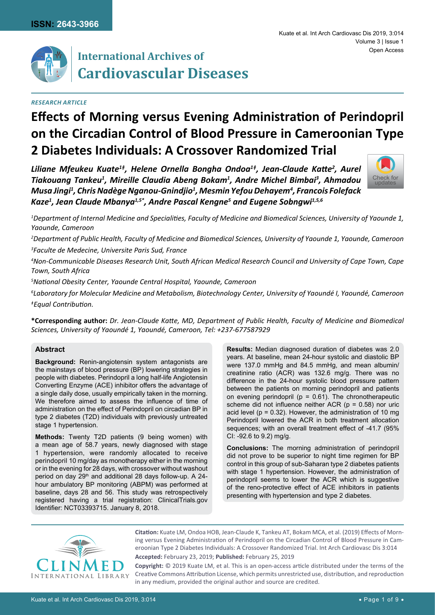

# **International Archives of Cardiovascular Diseases**

## *Research Article*

# **Effects of Morning versus Evening Administration of Perindopril on the Circadian Control of Blood Pressure in Cameroonian Type 2 Diabetes Individuals: A Crossover Randomized Trial**

*Liliane Mfeukeu Kuate1ǂ, Helene Ornella Bongha Ondoa1ǂ, Jean-Claude Katte<sup>2</sup> , Aurel Tiakouang Tankeu1 , Mireille Claudia Abeng Bokam1 , Andre Michel Bimbai3 , Ahmadou Musa Jingi1 , Chris Nadège Nganou-Gnindjio1 , Mesmin Yefou Dehayem4 , Francois Folefack Kaze1 , Jean Claude Mbanya1,5\*, Andre Pascal Kengne5 and Eugene Sobngwi1,5,6*



*1 Department of Internal Medicine and Specialities, Faculty of Medicine and Biomedical Sciences, University of Yaounde 1, Yaounde, Cameroon*

*2 Department of Public Health, Faculty of Medicine and Biomedical Sciences, University of Yaounde 1, Yaounde, Cameroon 3 Faculte de Medecine, Universite Paris Sud, France*

*4 Non-Communicable Diseases Research Unit, South African Medical Research Council and University of Cape Town, Cape Town, South Africa*

*5 National Obesity Center, Yaounde Central Hospital, Yaounde, Cameroon*

*6 Laboratory for Molecular Medicine and Metabolism, Biotechnology Center, University of Yaoundé I, Yaoundé, Cameroon ǂEqual Contribution.*

**\*Corresponding author:** *Dr. Jean-Claude Katte, MD, Department of Public Health, Faculty of Medicine and Biomedical Sciences, University of Yaoundé 1, Yaoundé, Cameroon, Tel: +237-677587929*

## **Abstract**

**Background:** Renin-angiotensin system antagonists are the mainstays of blood pressure (BP) lowering strategies in people with diabetes. Perindopril a long half-life Angiotensin Converting Enzyme (ACE) inhibitor offers the advantage of a single daily dose, usually empirically taken in the morning. We therefore aimed to assess the influence of time of administration on the effect of Perindopril on circadian BP in type 2 diabetes (T2D) individuals with previously untreated stage 1 hypertension.

**Methods:** Twenty T2D patients (9 being women) with a mean age of 58.7 years, newly diagnosed with stage 1 hypertension, were randomly allocated to receive perindopril 10 mg/day as monotherapy either in the morning or in the evening for 28 days, with crossover without washout period on day 29<sup>th</sup> and additional 28 days follow-up. A 24hour ambulatory BP monitoring (ABPM) was performed at baseline, days 28 and 56. This study was retrospectively registered having a trial registration: ClinicalTrials.gov Identifier: NCT03393715. January 8, 2018.

**Results:** Median diagnosed duration of diabetes was 2.0 years. At baseline, mean 24-hour systolic and diastolic BP were 137.0 mmHg and 84.5 mmHg, and mean albumin/ creatinine ratio (ACR) was 132.6 mg/g. There was no difference in the 24-hour systolic blood pressure pattern between the patients on morning perindopril and patients on evening perindopril ( $p = 0.61$ ). The chronotherapeutic scheme did not influence neither ACR ( $p = 0.58$ ) nor uric acid level ( $p = 0.32$ ). However, the administration of 10 mg Perindopril lowered the ACR in both treatment allocation sequences; with an overall treatment effect of -41.7 (95% CI: -92.6 to 9.2) mg/g.

**Conclusions:** The morning administration of perindopril did not prove to be superior to night time regimen for BP control in this group of sub-Saharan type 2 diabetes patients with stage 1 hypertension. However, the administration of perindopril seems to lower the ACR which is suggestive of the reno-protective effect of ACE inhibitors in patients presenting with hypertension and type 2 diabetes.



**Citation:** Kuate LM, Ondoa HOB, Jean-Claude K, Tankeu AT, Bokam MCA, et al. (2019) Effects of Morning versus Evening Administration of Perindopril on the Circadian Control of Blood Pressure in Cameroonian Type 2 Diabetes Individuals: A Crossover Randomized Trial. Int Arch Cardiovasc Dis 3:014 **Accepted:** February 23, 2019; **Published:** February 25, 2019

**Copyright:** © 2019 Kuate LM, et al. This is an open-access article distributed under the terms of the Creative Commons Attribution License, which permits unrestricted use, distribution, and reproduction in any medium, provided the original author and source are credited.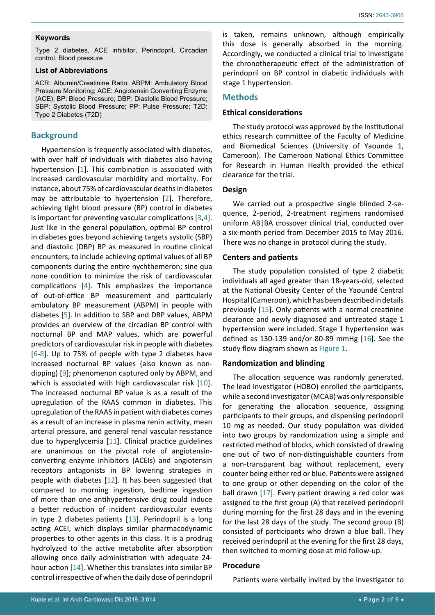#### **Keywords**

Type 2 diabetes, ACE inhibitor, Perindopril, Circadian control, Blood pressure

#### **List of Abbreviations**

ACR: Albumin/Creatinine Ratio; ABPM: Ambulatory Blood Pressure Monitoring; ACE: Angiotensin Converting Enzyme (ACE); BP: Blood Pressure; DBP: Diastolic Blood Pressure; SBP: Systolic Blood Pressure; PP: Pulse Pressure; T2D: Type 2 Diabetes (T2D)

#### **Background**

Hypertension is frequently associated with diabetes, with over half of individuals with diabetes also having hypertension [\[1](#page-8-3)]. This combination is associated with increased cardiovascular morbidity and mortality. For instance, about 75% of cardiovascular deaths in diabetes may be attributable to hypertension [\[2\]](#page-8-4). Therefore, achieving tight blood pressure (BP) control in diabetes is important for preventing vascular complications [[3](#page-8-5),[4](#page-8-6)]. Just like in the general population, optimal BP control in diabetes goes beyond achieving targets systolic (SBP) and diastolic (DBP) BP as measured in routine clinical encounters, to include achieving optimal values of all BP components during the entire nychthemeron; sine qua none condition to minimize the risk of cardiovascular complications [[4](#page-8-6)]. This emphasizes the importance of out-of-office BP measurement and particularly ambulatory BP measurement (ABPM) in people with diabetes [[5\]](#page-8-7). In addition to SBP and DBP values, ABPM provides an overview of the circadian BP control with nocturnal BP and MAP values, which are powerful predictors of cardiovascular risk in people with diabetes [[6](#page-8-8)-[8](#page-8-9)]. Up to 75% of people with type 2 diabetes have increased nocturnal BP values (also known as nondipping) [[9\]](#page-8-10); phenomenon captured only by ABPM, and which is associated with high cardiovascular risk [[10](#page-8-11)]. The increased nocturnal BP value is as a result of the upregulation of the RAAS common in diabetes. This upregulation of the RAAS in patient with diabetes comes as a result of an increase in plasma renin activity, mean arterial pressure, and general renal vascular resistance due to hyperglycemia [\[11](#page-8-12)]. Clinical practice guidelines are unanimous on the pivotal role of angiotensinconverting enzyme inhibitors (ACEIs) and angiotensin receptors antagonists in BP lowering strategies in people with diabetes [[12](#page-8-13)]. It has been suggested that compared to morning ingestion, bedtime ingestion of more than one antihypertensive drug could induce a better reduction of incident cardiovascular events in type 2 diabetes patients [\[13](#page-8-14)]. Perindopril is a long acting ACEI, which displays similar pharmacodynamic properties to other agents in this class. It is a prodrug hydrolyzed to the active metabolite after absorption allowing once daily administration with adequate 24 hour action [[14\]](#page-8-15). Whether this translates into similar BP control irrespective of when the daily dose of perindopril

is taken, remains unknown, although empirically this dose is generally absorbed in the morning. Accordingly, we conducted a clinical trial to investigate the chronotherapeutic effect of the administration of perindopril on BP control in diabetic individuals with stage 1 hypertension.

### **Methods**

#### **Ethical considerations**

The study protocol was approved by the Institutional ethics research committee of the Faculty of Medicine and Biomedical Sciences (University of Yaounde 1, Cameroon). The Cameroon National Ethics Committee for Research in Human Health provided the ethical clearance for the trial.

### **Design**

We carried out a prospective single blinded 2-sequence, 2-period, 2-treatment regimens randomised uniform AB|BA crossover clinical trial, conducted over a six-month period from December 2015 to May 2016. There was no change in protocol during the study.

#### **Centers and patients**

The study population consisted of type 2 diabetic individuals all aged greater than 18-years-old, selected at the National Obesity Center of the Yaoundé Central Hospital (Cameroon), which has been described in details previously [[15](#page-8-0)]. Only patients with a normal creatinine clearance and newly diagnosed and untreated stage 1 hypertension were included. Stage 1 hypertension was defined as 130-139 and/or 80-89 mmHg [\[16](#page-8-1)]. See the study flow diagram shown as [Figure 1](#page-2-0).

### **Randomization and blinding**

The allocation sequence was randomly generated. The lead investigator (HOBO) enrolled the participants, while a second investigator (MCAB) was only responsible for generating the allocation sequence, assigning participants to their groups, and dispensing perindopril 10 mg as needed. Our study population was divided into two groups by randomization using a simple and restricted method of blocks, which consisted of drawing one out of two of non-distinguishable counters from a non-transparent bag without replacement, every counter being either red or blue. Patients were assigned to one group or other depending on the color of the ball drawn [\[17](#page-8-2)]. Every patient drawing a red color was assigned to the first group (A) that received perindopril during morning for the first 28 days and in the evening for the last 28 days of the study. The second group (B) consisted of participants who drawn a blue ball. They received perindopril at the evening for the first 28 days, then switched to morning dose at mid follow-up.

## **Procedure**

Patients were verbally invited by the investigator to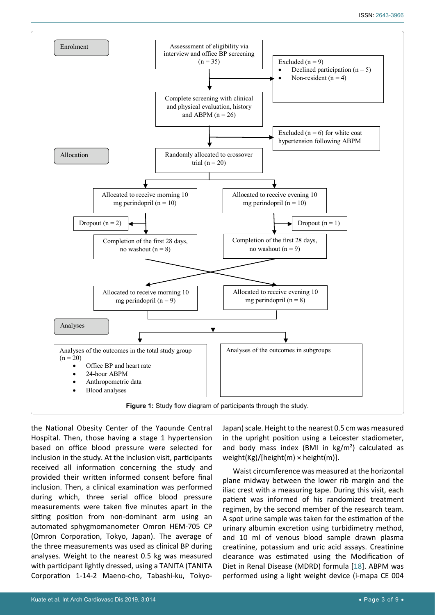<span id="page-2-0"></span>

the National Obesity Center of the Yaounde Central Hospital. Then, those having a stage 1 hypertension based on office blood pressure were selected for inclusion in the study. At the inclusion visit, participants received all information concerning the study and provided their written informed consent before final inclusion. Then, a clinical examination was performed during which, three serial office blood pressure measurements were taken five minutes apart in the sitting position from non-dominant arm using an automated sphygmomanometer Omron HEM-705 CP (Omron Corporation, Tokyo, Japan). The average of the three measurements was used as clinical BP during analyses. Weight to the nearest 0.5 kg was measured with participant lightly dressed, using a TANITA (TANITA Corporation 1-14-2 Maeno-cho, Tabashi-ku, TokyoJapan) scale. Height to the nearest 0.5 cm was measured in the upright position using a Leicester stadiometer, and body mass index (BMI in  $\text{kg/m}^2$ ) calculated as weight(Kg)/[height(m) × height(m)].

Waist circumference was measured at the horizontal plane midway between the lower rib margin and the iliac crest with a measuring tape. During this visit, each patient was informed of his randomized treatment regimen, by the second member of the research team. A spot urine sample was taken for the estimation of the urinary albumin excretion using turbidimetry method, and 10 ml of venous blood sample drawn plasma creatinine, potassium and uric acid assays. Creatinine clearance was estimated using the Modification of Diet in Renal Disease (MDRD) formula [[18](#page-8-16)]. ABPM was performed using a light weight device (i-mapa CE 004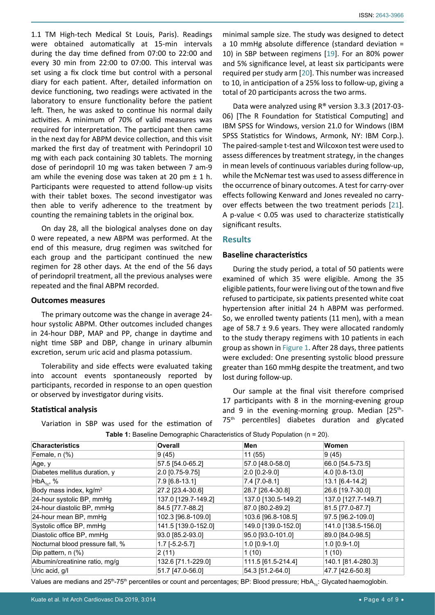1.1 TM High-tech Medical St Louis, Paris). Readings were obtained automatically at 15-min intervals during the day time defined from 07:00 to 22:00 and every 30 min from 22:00 to 07:00. This interval was set using a fix clock time but control with a personal diary for each patient. After, detailed information on device functioning, two readings were activated in the laboratory to ensure functionality before the patient left. Then, he was asked to continue his normal daily activities. A minimum of 70% of valid measures was required for interpretation. The participant then came in the next day for ABPM device collection, and this visit marked the first day of treatment with Perindopril 10 mg with each pack containing 30 tablets. The morning dose of perindopril 10 mg was taken between 7 am-9 am while the evening dose was taken at 20 pm  $\pm$  1 h. Participants were requested to attend follow-up visits with their tablet boxes. The second investigator was then able to verify adherence to the treatment by counting the remaining tablets in the original box.

On day 28, all the biological analyses done on day 0 were repeated, a new ABPM was performed. At the end of this measure, drug regimen was switched for each group and the participant continued the new regimen for 28 other days. At the end of the 56 days of perindopril treatment, all the previous analyses were repeated and the final ABPM recorded.

## **Outcomes measures**

The primary outcome was the change in average 24 hour systolic ABPM. Other outcomes included changes in 24-hour DBP, MAP and PP, change in daytime and night time SBP and DBP, change in urinary albumin excretion, serum uric acid and plasma potassium.

Tolerability and side effects were evaluated taking into account events spontaneously reported by participants, recorded in response to an open question or observed by investigator during visits.

Variation in SBP was used for the estimation of

## **Statistical analysis**

ISSN: 2643-3966

minimal sample size. The study was designed to detect a 10 mmHg absolute difference (standard deviation = 10) in SBP between regimens [\[19](#page-8-17)]. For an 80% power and 5% significance level, at least six participants were required per study arm [[20](#page-8-18)]. This number was increased to 10, in anticipation of a 25% loss to follow-up, giving a total of 20 participants across the two arms.

Data were analyzed using R® version 3.3.3 (2017-03- 06) [The R Foundation for Statistical Computing] and IBM SPSS for Windows, version 21.0 for Windows (IBM SPSS Statistics for Windows, Armonk, NY: IBM Corp.). The paired-sample t-test and Wilcoxon test were used to assess differences by treatment strategy, in the changes in mean levels of continuous variables during follow-up, while the McNemar test was used to assess difference in the occurrence of binary outcomes. A test for carry-over effects following Kenward and Jones revealed no carryover effects between the two treatment periods [\[21](#page-8-19)]. A p-value < 0.05 was used to characterize statistically significant results.

## **Results**

## **Baseline characteristics**

During the study period, a total of 50 patients were examined of which 35 were eligible. Among the 35 eligible patients, four were living out of the town and five refused to participate, six patients presented white coat hypertension after initial 24 h ABPM was performed. So, we enrolled twenty patients (11 men), with a mean age of 58.7  $\pm$  9.6 years. They were allocated randomly to the study therapy regimens with 10 patients in each group as shown in [Figure 1](#page-2-0). After 28 days, three patients were excluded: One presenting systolic blood pressure greater than 160 mmHg despite the treatment, and two lost during follow-up.

Our sample at the final visit therefore comprised 17 participants with 8 in the morning-evening group and 9 in the evening-morning group. Median [25<sup>th</sup>-75<sup>th</sup> percentiles] diabetes duration and glycated

| <b>Characteristics</b>             | <b>Overall</b>      | Men                 | Women               |
|------------------------------------|---------------------|---------------------|---------------------|
| Female, n (%)                      | 9(45)               | 11 (55)             | 9(45)               |
| Age, y                             | 57.5 [54.0-65.2]    | 57.0 [48.0-58.0]    | 66.0 [54.5-73.5]    |
| Diabetes mellitus duration, y      | 2.0 [0.75-9.75]     | $2.0$ [0.2-9.0]     | $ 4.0 0.8-13.0 $    |
| $HbA_{1c}$ , %                     | 7.9 [6.8-13.1]      | $7.4$ [7.0-8.1]     | 13.1 [6.4-14.2]     |
| Body mass index, kg/m <sup>2</sup> | 27.2 [23.4-30.6]    | 28.7 [26.4-30.8]    | 26.6 [19.7-30.0]    |
| 24-hour systolic BP, mmHg          | 137.0 [129.7-149.2] | 137.0 [130.5-149.2] | 137.0 [127.7-149.7] |
| 24-hour diastolic BP, mmHg         | 84.5 [77.7-88.2]    | 87.0 [80.2-89.2]    | 81.5 [77.0-87.7]    |
| 24-hour mean BP, mmHg              | 102.3 [96.8-109.0]  | 103.6 [96.8-108.5]  | 97.5 [96.2-109.0]   |
| Systolic office BP, mmHg           | 141.5 [139.0-152.0] | 149.0 [139.0-152.0] | 141.0 [138.5-156.0] |
| Diastolic office BP, mmHg          | 93.0 [85.2-93.0]    | 95.0 [93.0-101.0]   | 89.0 [84.0-98.5]    |
| Nocturnal blood pressure fall, %   | $1.7$ [-5.2-5.7]    | $1.0$ [0.9-1.0]     | $1.0$ [0.9-1.0]     |
| Dip pattern, $n$ $(\%)$            | 2(11)               | 1(10)               | 1(10)               |
| Albumin/creatinine ratio, mg/g     | 132.6 [71.1-229.0]  | 111.5 [61.5-214.4]  | 140.1 [81.4-280.3]  |
| Uric acid, g/l                     | 51.7 [47.0-56.0]    | 54.3 [51.2-64.0]    | 47.7 [42.6-50.8]    |

<span id="page-3-0"></span>**Table 1:** Baseline Demographic Characteristics of Study Population (n = 20).

Values are medians and 25<sup>th</sup>-75<sup>th</sup> percentiles or count and percentages; BP: Blood pressure; HbA<sub>1c</sub>: Glycated haemoglobin.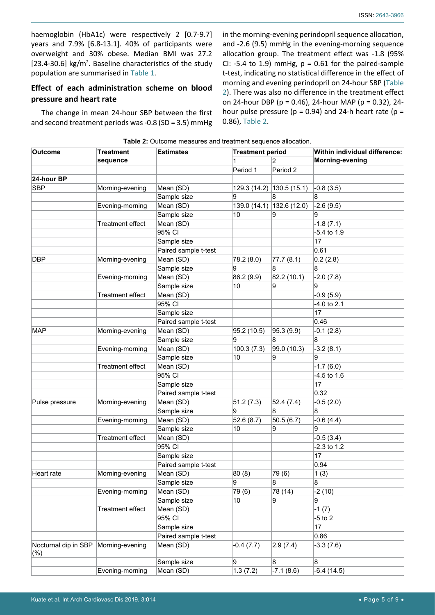haemoglobin (HbA1c) were respectively 2 [0.7-9.7] years and 7.9% [6.8-13.1]. 40% of participants were overweight and 30% obese. Median BMI was 27.2 [23.4-30.6]  $kg/m<sup>2</sup>$ . Baseline characteristics of the study population are summarised in [Table 1](#page-3-0).

# **Effect of each administration scheme on blood pressure and heart rate**

The change in mean 24-hour SBP between the first and second treatment periods was -0.8 (SD = 3.5) mmHg in the morning-evening perindopril sequence allocation, and -2.6 (9.5) mmHg in the evening-morning sequence allocation group. The treatment effect was -1.8 (95% CI: -5.4 to 1.9) mmHg,  $p = 0.61$  for the paired-sample t-test, indicating no statistical difference in the effect of morning and evening perindopril on 24-hour SBP ([Table](#page-4-0)  [2](#page-4-0)). There was also no difference in the treatment effect on 24-hour DBP (p = 0.46), 24-hour MAP (p = 0.32), 24 hour pulse pressure ( $p = 0.94$ ) and 24-h heart rate ( $p =$ 0.86), [Table 2](#page-4-0).

| <b>Outcome</b>       | <b>Treatment</b><br>sequence | Sie 2. Outcome measures and treatment sequence allocation.<br><b>Estimates</b> | <b>Treatment period</b> |                           | Within individual difference: |
|----------------------|------------------------------|--------------------------------------------------------------------------------|-------------------------|---------------------------|-------------------------------|
|                      |                              |                                                                                | 2                       |                           | Morning-evening               |
|                      |                              |                                                                                | Period 1                | Period 2                  |                               |
| 24-hour BP           |                              |                                                                                |                         |                           |                               |
| <b>SBP</b>           | Morning-evening              | Mean (SD)                                                                      |                         | 129.3 (14.2) 130.5 (15.1) | $-0.8(3.5)$                   |
|                      |                              | Sample size                                                                    | 9                       | 8                         | 8                             |
|                      | Evening-morning              | Mean (SD)                                                                      |                         | 139.0 (14.1) 132.6 (12.0) | $-2.6(9.5)$                   |
|                      |                              | Sample size                                                                    | 10                      | 9                         | 9                             |
|                      | <b>Treatment effect</b>      | Mean (SD)                                                                      |                         |                           | $-1.8(7.1)$                   |
|                      |                              | 95% CI                                                                         |                         |                           | $-5.4$ to 1.9                 |
|                      |                              | Sample size                                                                    |                         |                           | 17                            |
|                      |                              | Paired sample t-test                                                           |                         |                           | 0.61                          |
| <b>DBP</b>           | Morning-evening              | Mean (SD)                                                                      | 78.2 (8.0)              | 77.7(8.1)                 | 0.2(2.8)                      |
|                      |                              | Sample size                                                                    | 9                       | 8                         | 8                             |
|                      | Evening-morning              | Mean (SD)                                                                      | 86.2 (9.9)              | 82.2 (10.1)               | $-2.0(7.8)$                   |
|                      |                              | Sample size                                                                    | 10                      | 9                         | 9                             |
|                      | <b>Treatment effect</b>      | Mean (SD)                                                                      |                         |                           | $-0.9(5.9)$                   |
|                      |                              | 95% CI                                                                         |                         |                           | $-4.0$ to 2.1                 |
|                      |                              | Sample size                                                                    |                         |                           | 17                            |
|                      |                              | Paired sample t-test                                                           |                         |                           | 0.46                          |
| <b>MAP</b>           | Morning-evening              | Mean (SD)                                                                      | 95.2 (10.5)             | 95.3(9.9)                 | $-0.1(2.8)$                   |
|                      |                              | Sample size                                                                    | 9                       | 8                         | 8                             |
|                      | Evening-morning              | Mean (SD)                                                                      | 100.3(7.3)              | 99.0 (10.3)               | $-3.2(8.1)$                   |
|                      |                              | Sample size                                                                    | 10                      | 9                         | 9                             |
|                      | <b>Treatment effect</b>      | Mean (SD)                                                                      |                         |                           | $-1.7(6.0)$                   |
|                      |                              | 95% CI                                                                         |                         |                           | $-4.5$ to 1.6                 |
|                      |                              | Sample size                                                                    |                         |                           | 17                            |
|                      |                              | Paired sample t-test                                                           |                         |                           | 0.32                          |
| Pulse pressure       | Morning-evening              | Mean (SD)                                                                      | 51.2(7.3)               | 52.4(7.4)                 | $-0.5(2.0)$                   |
|                      |                              | Sample size                                                                    | 9                       | 8                         | 8                             |
|                      | Evening-morning              | Mean (SD)                                                                      | 52.6(8.7)               | 50.5(6.7)                 | $-0.6(4.4)$                   |
|                      |                              | Sample size                                                                    | 10                      | 9                         | 9                             |
|                      | <b>Treatment effect</b>      | Mean (SD)                                                                      |                         |                           | $-0.5(3.4)$                   |
|                      |                              | 95% CI                                                                         |                         |                           | $-2.3$ to 1.2                 |
|                      |                              | Sample size                                                                    |                         |                           | 17                            |
|                      |                              | Paired sample t-test                                                           |                         |                           | 0.94                          |
| Heart rate           | Morning-evening              | Mean (SD)                                                                      | 80(8)                   | 79 (6)                    | 1(3)                          |
|                      |                              | Sample size                                                                    | 9                       | 8                         | 8                             |
|                      | Evening-morning              | Mean (SD)                                                                      | 79 (6)                  | 78 (14)                   | $-2(10)$                      |
|                      |                              | Sample size                                                                    | 10                      | 9                         | 9                             |
|                      | Treatment effect             | Mean (SD)                                                                      |                         |                           | $-1(7)$                       |
|                      |                              | 95% CI                                                                         |                         |                           | $-5$ to 2                     |
|                      |                              | Sample size                                                                    |                         |                           | 17                            |
|                      |                              | Paired sample t-test                                                           |                         |                           | 0.86                          |
| Nocturnal dip in SBP | Morning-evening              | Mean (SD)                                                                      | $-0.4(7.7)$             | 2.9(7.4)                  | $-3.3(7.6)$                   |
| (%)                  |                              |                                                                                |                         |                           |                               |
|                      |                              | Sample size                                                                    | 9                       | 8                         | 8                             |
|                      | Evening-morning              | Mean (SD)                                                                      | 1.3(7.2)                | $-7.1(8.6)$               | $-6.4(14.5)$                  |

## <span id="page-4-0"></span>**Table 2:** Outcome measures and treatment sequence allocation.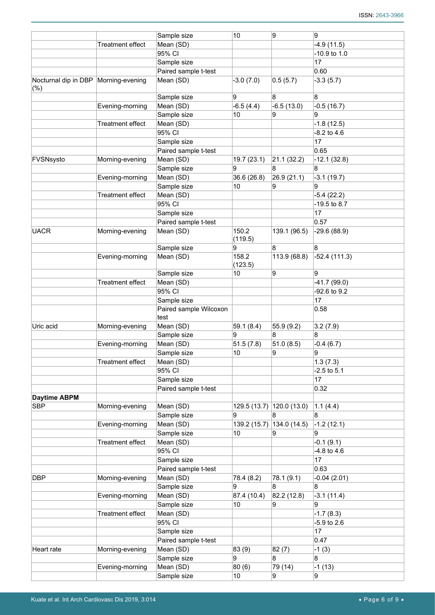|                                             |                         | 10<br>Sample size              |                  | 9<br>9                    |                 |  |
|---------------------------------------------|-------------------------|--------------------------------|------------------|---------------------------|-----------------|--|
|                                             | Treatment effect        | Mean (SD)                      |                  |                           | $-4.9(11.5)$    |  |
|                                             |                         | 95% CI                         |                  |                           | -10.9 to 1.0    |  |
|                                             |                         | Sample size                    |                  |                           | 17              |  |
|                                             | Paired sample t-test    |                                |                  |                           | 0.60            |  |
| Nocturnal dip in DBP Morning-evening<br>(%) |                         | Mean (SD)                      | $-3.0(7.0)$      | 0.5(5.7)                  | $-3.3(5.7)$     |  |
|                                             |                         | Sample size                    | 9                | 8                         | 8               |  |
|                                             | Evening-morning         | Mean (SD)                      | $-6.5(4.4)$      | $-6.5(13.0)$              | $-0.5(16.7)$    |  |
|                                             |                         | Sample size                    | 10               | 9                         | 9               |  |
|                                             | <b>Treatment effect</b> | Mean (SD)                      |                  |                           | $-1.8(12.5)$    |  |
|                                             |                         | 95% CI                         |                  |                           | $-8.2$ to 4.6   |  |
|                                             |                         | Sample size                    |                  |                           | 17              |  |
|                                             |                         | Paired sample t-test           |                  |                           | 0.65            |  |
| FVSNsysto                                   | Morning-evening         | Mean (SD)                      | 19.7 (23.1)      | 21.1(32.2)                | $-12.1(32.8)$   |  |
|                                             |                         | Sample size                    | 9                | 8                         | 8               |  |
|                                             | Evening-morning         | Mean (SD)                      | 36.6 (26.8)      | 26.9(21.1)                | $-3.1(19.7)$    |  |
|                                             |                         | Sample size                    | 10               | 9                         | 9               |  |
|                                             | <b>Treatment effect</b> | Mean (SD)                      |                  |                           | $-5.4(22.2)$    |  |
|                                             |                         | 95% CI                         |                  |                           | -19.5 to 8.7    |  |
|                                             |                         | Sample size                    |                  |                           | 17              |  |
|                                             |                         | Paired sample t-test           |                  |                           | 0.57            |  |
| <b>UACR</b>                                 | Morning-evening         | Mean (SD)                      | 150.2<br>(119.5) | 139.1 (96.5)              | $-29.6(88.9)$   |  |
|                                             |                         | Sample size                    | 9                | 8                         | 8               |  |
|                                             | Evening-morning         | Mean (SD)                      | 158.2<br>(123.5) | 113.9 (68.8)              | $-52.4(111.3)$  |  |
|                                             |                         | Sample size                    | 10               | 9                         | 9               |  |
|                                             | <b>Treatment effect</b> | Mean (SD)                      |                  |                           | $-41.7(99.0)$   |  |
|                                             |                         | 95% CI                         |                  |                           | -92.6 to 9.2    |  |
|                                             |                         | Sample size                    |                  |                           | 17              |  |
|                                             |                         | Paired sample Wilcoxon<br>test |                  |                           | 0.58            |  |
| Uric acid                                   | Morning-evening         | Mean (SD)                      | 59.1(8.4)        | 55.9 (9.2)                | 3.2(7.9)        |  |
|                                             |                         | Sample size                    | 9                | 8                         | 8               |  |
|                                             | Evening-morning         | Mean (SD)                      | 51.5(7.8)        | 51.0(8.5)                 | $-0.4(6.7)$     |  |
|                                             |                         | Sample size                    | 10               | 9                         | 9               |  |
|                                             | <b>Treatment effect</b> | Mean (SD)                      |                  |                           | 1.3(7.3)        |  |
|                                             |                         | 95% CI                         |                  |                           | $-2.5$ to $5.1$ |  |
|                                             |                         | Sample size                    |                  |                           | 17              |  |
|                                             |                         | Paired sample t-test           |                  |                           | 0.32            |  |
| <b>Daytime ABPM</b>                         |                         |                                |                  |                           |                 |  |
| <b>SBP</b>                                  | Morning-evening         | Mean (SD)                      |                  | 129.5 (13.7) 120.0 (13.0) | 1.1(4.4)        |  |
|                                             |                         | Sample size                    | 9                | 8                         | 8               |  |
|                                             | Evening-morning         | Mean (SD)                      |                  | 139.2 (15.7) 134.0 (14.5) | $-1.2(12.1)$    |  |
|                                             |                         | Sample size                    | 10               | 9                         | 9               |  |
|                                             | <b>Treatment effect</b> | Mean (SD)                      |                  |                           | $-0.1(9.1)$     |  |
|                                             |                         | 95% CI                         |                  |                           | $-4.8$ to $4.6$ |  |
|                                             |                         | Sample size                    |                  |                           | 17              |  |
|                                             |                         | Paired sample t-test           |                  |                           | 0.63            |  |
| <b>DBP</b>                                  | Morning-evening         | Mean (SD)                      | 78.4 (8.2)       | 78.1 (9.1)                | $-0.04(2.01)$   |  |
|                                             |                         | Sample size                    | 9                | 8                         | 8               |  |
|                                             | Evening-morning         | Mean (SD)                      | 87.4 (10.4)      | 82.2 (12.8)               | $-3.1(11.4)$    |  |
|                                             |                         | Sample size                    | 10               | 9                         | 9               |  |
|                                             | Treatment effect        | Mean (SD)                      |                  |                           | $-1.7(8.3)$     |  |
|                                             |                         | 95% CI                         |                  |                           | $-5.9$ to 2.6   |  |
|                                             |                         | Sample size                    |                  |                           | 17              |  |
|                                             |                         | Paired sample t-test           |                  |                           | 0.47            |  |
| Heart rate                                  | Morning-evening         | Mean (SD)                      | 83 (9)           | 82(7)                     | $-1(3)$         |  |
|                                             |                         | Sample size                    | 9                | 8                         | 8               |  |
|                                             | Evening-morning         | Mean (SD)                      | 80(6)            | 79 (14)                   | $-1(13)$        |  |
|                                             |                         | Sample size                    | 10               | 9                         | 9               |  |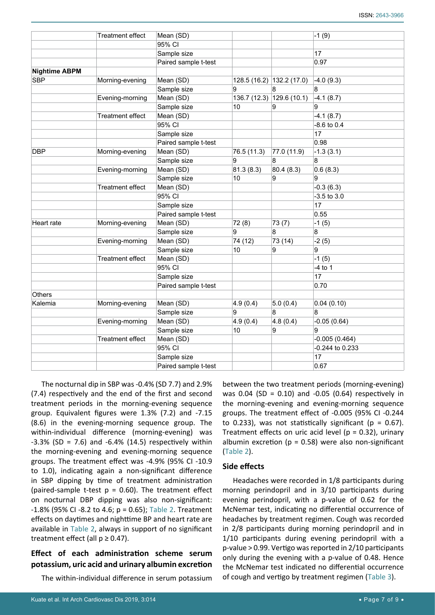|                      | <b>Treatment effect</b> | Mean (SD)            |                             |                           | $-1(9)$         |
|----------------------|-------------------------|----------------------|-----------------------------|---------------------------|-----------------|
|                      |                         | 95% CI               |                             |                           |                 |
|                      |                         | Sample size          |                             |                           | 17              |
|                      |                         | Paired sample t-test |                             |                           | 0.97            |
| <b>Nightime ABPM</b> |                         |                      |                             |                           |                 |
| <b>SBP</b>           | Morning-evening         | Mean (SD)            |                             | 128.5 (16.2) 132.2 (17.0) | $-4.0(9.3)$     |
|                      |                         | Sample size          | 9                           | 8                         | 8               |
|                      | Evening-morning         | Mean (SD)            | 129.6(10.1)<br>136.7 (12.3) |                           | $-4.1(8.7)$     |
|                      |                         | Sample size          | 10                          | 9                         | 9               |
|                      | <b>Treatment effect</b> | Mean (SD)            |                             |                           | $-4.1(8.7)$     |
|                      |                         | 95% CI               |                             |                           | $-8.6$ to 0.4   |
|                      |                         | Sample size          |                             |                           | 17              |
|                      |                         | Paired sample t-test |                             |                           | 0.98            |
| <b>DBP</b>           | Morning-evening         | Mean (SD)            | 76.5 (11.3)                 | 77.0 (11.9)               | $-1.3(3.1)$     |
|                      |                         | Sample size          | 9                           | 8                         | 8               |
|                      | Evening-morning         | Mean (SD)            | 81.3(8.3)                   | 80.4 (8.3)                | 0.6(8.3)        |
|                      |                         | Sample size          | 10                          | 9                         | 9               |
|                      | <b>Treatment effect</b> | Mean (SD)            |                             |                           | $-0.3(6.3)$     |
|                      |                         | 95% CI               |                             |                           | $-3.5$ to $3.0$ |
|                      |                         | Sample size          |                             |                           | 17              |
|                      |                         | Paired sample t-test |                             |                           | 0.55            |
| Heart rate           | Morning-evening         | Mean (SD)            | 72 (8)                      | 73(7)                     | $-1(5)$         |
|                      |                         | Sample size          | 9                           | 8                         | 8               |
|                      | Evening-morning         | Mean (SD)            | 74 (12)                     | 73 (14)                   | $-2(5)$         |
|                      |                         | Sample size          | 10                          | 9                         | 9               |
|                      | <b>Treatment effect</b> | Mean (SD)            |                             |                           | $-1(5)$         |
|                      |                         | 95% CI               |                             |                           | $-4$ to 1       |
|                      |                         | Sample size          |                             |                           | 17              |
|                      |                         | Paired sample t-test |                             |                           | 0.70            |
| Others               |                         |                      |                             |                           |                 |
| Kalemia              | Morning-evening         | Mean (SD)            | 4.9(0.4)                    | 5.0(0.4)                  | 0.04(0.10)      |
|                      |                         | Sample size          | 9                           | 8                         | 8               |
|                      | Evening-morning         | Mean (SD)            | 4.8(0.4)<br>4.9(0.4)        |                           | $-0.05(0.64)$   |
|                      |                         | Sample size          | 9<br>10                     |                           | 9               |
|                      | <b>Treatment effect</b> | Mean (SD)            |                             |                           | $-0.005(0.464)$ |
|                      |                         | 95% CI               |                             |                           | -0.244 to 0.233 |
|                      |                         | Sample size          |                             |                           | 17              |
|                      |                         | Paired sample t-test |                             |                           | 0.67            |

The nocturnal dip in SBP was -0.4% (SD 7.7) and 2.9% (7.4) respectively and the end of the first and second treatment periods in the morning-evening sequence group. Equivalent figures were 1.3% (7.2) and -7.15 (8.6) in the evening-morning sequence group. The within-individual difference (morning-evening) was  $-3.3\%$  (SD = 7.6) and  $-6.4\%$  (14.5) respectively within the morning-evening and evening-morning sequence groups. The treatment effect was -4.9% (95% CI -10.9 to 1.0), indicating again a non-significant difference in SBP dipping by time of treatment administration (paired-sample t-test  $p = 0.60$ ). The treatment effect on nocturnal DBP dipping was also non-significant: -1.8% (95% CI -8.2 to 4.6; p = 0.65); [Table 2](#page-4-0). Treatment effects on daytimes and nighttime BP and heart rate are available in [Table 2,](#page-4-0) always in support of no significant treatment effect (all  $p \ge 0.47$ ).

## **Effect of each administration scheme serum potassium, uric acid and urinary albumin excretion**

The within-individual difference in serum potassium

between the two treatment periods (morning-evening) was 0.04 (SD = 0.10) and -0.05 (0.64) respectively in the morning-evening and evening-morning sequence groups. The treatment effect of -0.005 (95% CI -0.244 to 0.233), was not statistically significant ( $p = 0.67$ ). Treatment effects on uric acid level ( $p = 0.32$ ), urinary albumin excretion ( $p = 0.58$ ) were also non-significant ([Table 2](#page-4-0)).

## **Side effects**

Headaches were recorded in 1/8 participants during morning perindopril and in 3/10 participants during evening perindopril, with a p-value of 0.62 for the McNemar test, indicating no differential occurrence of headaches by treatment regimen. Cough was recorded in 2/8 participants during morning perindopril and in 1/10 participants during evening perindopril with a p-value > 0.99. Vertigo was reported in 2/10 participants only during the evening with a p-value of 0.48. Hence the McNemar test indicated no differential occurrence of cough and vertigo by treatment regimen ([Table 3](#page-7-0)).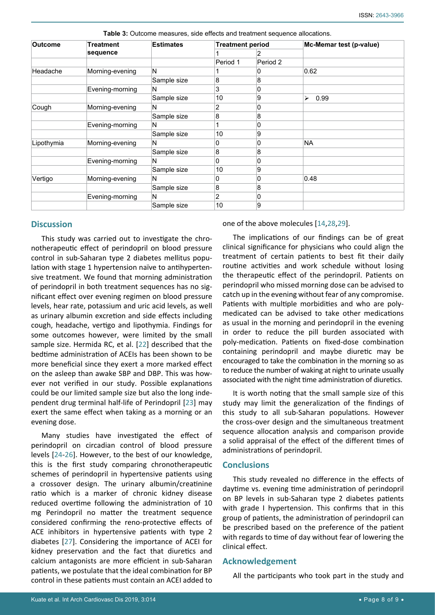| <b>Outcome</b> | <b>Treatment</b><br>sequence | <b>Estimates</b> | <b>Treatment period</b> |          | Mc-Memar test (p-value) |
|----------------|------------------------------|------------------|-------------------------|----------|-------------------------|
|                |                              |                  |                         | 2        |                         |
|                |                              |                  | Period 1                | Period 2 |                         |
| Headache       | Morning-evening              | N                |                         | 0        | 0.62                    |
|                |                              | Sample size      | 8                       | 8        |                         |
|                | Evening-morning              | N                | 3                       | 0        |                         |
|                |                              | Sample size      | 10                      | 9        | 0.99<br>⋗               |
| Cough          | Morning-evening              | N                | 2                       | 0        |                         |
|                |                              | Sample size      | 8                       | 8        |                         |
|                | Evening-morning              | N                |                         | 0        |                         |
|                |                              | Sample size      | 10                      | 9        |                         |
| Lipothymia     | Morning-evening              | N                | 0                       | 0        | <b>NA</b>               |
|                |                              | Sample size      | 8                       | 8        |                         |
|                | Evening-morning              | N                | 0                       | 0        |                         |
|                |                              | Sample size      | 10                      | 9        |                         |
| Vertigo        | Morning-evening              | N                | 0                       | 0        | 0.48                    |
|                |                              | Sample size      | 8                       | 8        |                         |
|                | Evening-morning              | N                | 2                       | 0        |                         |
|                |                              | Sample size      | 10                      | 9        |                         |

<span id="page-7-0"></span>**Table 3:** Outcome measures, side effects and treatment sequence allocations.

## **Discussion**

This study was carried out to investigate the chronotherapeutic effect of perindopril on blood pressure control in sub-Saharan type 2 diabetes mellitus population with stage 1 hypertension naïve to antihypertensive treatment. We found that morning administration of perindopril in both treatment sequences has no significant effect over evening regimen on blood pressure levels, hear rate, potassium and uric acid levels, as well as urinary albumin excretion and side effects including cough, headache, vertigo and lipothymia. Findings for some outcomes however, were limited by the small sample size. Hermida RC, et al. [\[22](#page-8-22)] described that the bedtime administration of ACEIs has been shown to be more beneficial since they exert a more marked effect on the asleep than awake SBP and DBP. This was however not verified in our study. Possible explanations could be our limited sample size but also the long independent drug terminal half-life of Perindopril [[23](#page-8-23)] may exert the same effect when taking as a morning or an evening dose.

Many studies have investigated the effect of perindopril on circadian control of blood pressure levels [[24](#page-8-24)-[26\]](#page-8-25). However, to the best of our knowledge, this is the first study comparing chronotherapeutic schemes of perindopril in hypertensive patients using a crossover design. The urinary albumin/creatinine ratio which is a marker of chronic kidney disease reduced overtime following the administration of 10 mg Perindopril no matter the treatment sequence considered confirming the reno-protective effects of ACE inhibitors in hypertensive patients with type 2 diabetes [[27](#page-8-26)]. Considering the importance of ACEI for kidney preservation and the fact that diuretics and calcium antagonists are more efficient in sub-Saharan patients, we postulate that the ideal combination for BP control in these patients must contain an ACEI added to

one of the above molecules [[14](#page-8-15),[28](#page-8-20),[29](#page-8-21)].

The implications of our findings can be of great clinical significance for physicians who could align the treatment of certain patients to best fit their daily routine activities and work schedule without losing the therapeutic effect of the perindopril. Patients on perindopril who missed morning dose can be advised to catch up in the evening without fear of any compromise. Patients with multiple morbidities and who are polymedicated can be advised to take other medications as usual in the morning and perindopril in the evening in order to reduce the pill burden associated with poly-medication. Patients on fixed-dose combination containing perindopril and maybe diuretic may be encouraged to take the combination in the morning so as to reduce the number of waking at night to urinate usually associated with the night time administration of diuretics.

It is worth noting that the small sample size of this study may limit the generalization of the findings of this study to all sub-Saharan populations. However the cross-over design and the simultaneous treatment sequence allocation analysis and comparison provide a solid appraisal of the effect of the different times of administrations of perindopril.

## **Conclusions**

This study revealed no difference in the effects of daytime vs. evening time administration of perindopril on BP levels in sub-Saharan type 2 diabetes patients with grade I hypertension. This confirms that in this group of patients, the administration of perindopril can be prescribed based on the preference of the patient with regards to time of day without fear of lowering the clinical effect.

## **Acknowledgement**

All the participants who took part in the study and